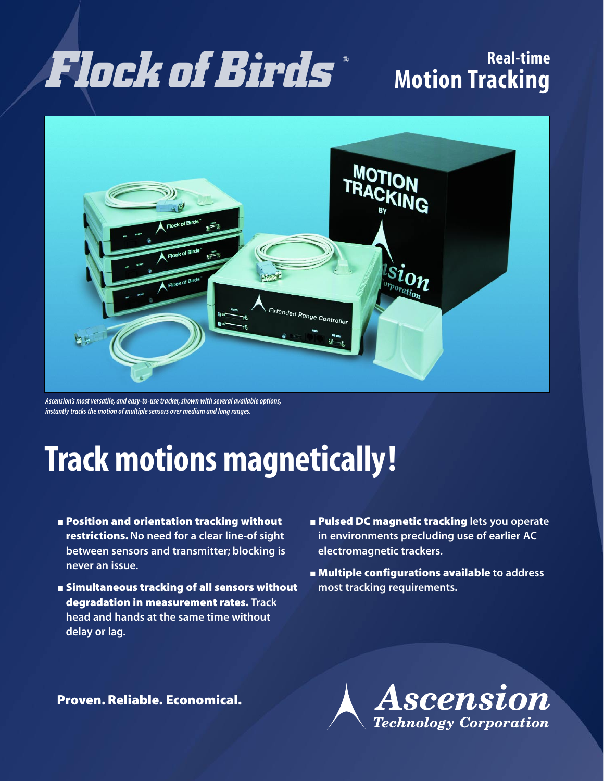# **Real-time** *Flockof Birds* **Motion Tracking** *®*



*Ascension's most versatile, and easy-to-use tracker, shown with several available options, instantly tracks the motion of multiple sensors over medium and long ranges.*

# **Track motions magnetically!**

- **Position and orientation tracking without restrictions.No need for a clear line-of sight between sensors and transmitter; blocking is never an issue.**
- **Simultaneous tracking of all sensors without degradation in measurement rates. Track head and hands at the same time without delay or lag.**
- **Pulsed DC magnetic tracking** lets you operate **in environments precluding use of earlier AC electromagnetic trackers.**
- **Multiple configurations available to address most tracking requirements.**

**Proven. Reliable. Economical.**